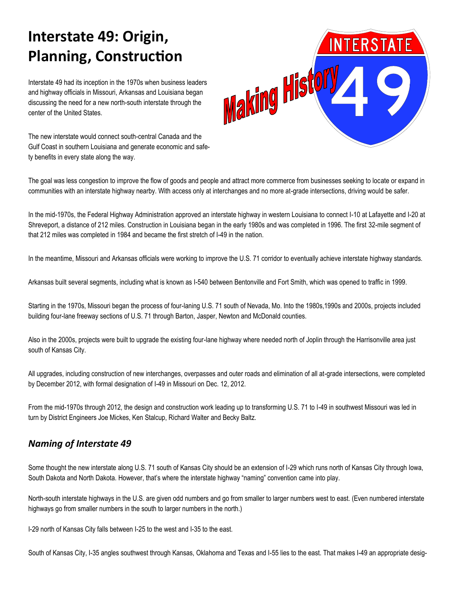# **Interstate 49: Origin, Planning, Construction**

Interstate 49 had its inception in the 1970s when business leaders and highway officials in Missouri, Arkansas and Louisiana began discussing the need for a new north-south interstate through the center of the United States.

The new interstate would connect south-central Canada and the Gulf Coast in southern Louisiana and generate economic and safety benefits in every state along the way.



The goal was less congestion to improve the flow of goods and people and attract more commerce from businesses seeking to locate or expand in communities with an interstate highway nearby. With access only at interchanges and no more at-grade intersections, driving would be safer.

In the mid-1970s, the Federal Highway Administration approved an interstate highway in western Louisiana to connect I-10 at Lafayette and I-20 at Shreveport, a distance of 212 miles. Construction in Louisiana began in the early 1980s and was completed in 1996. The first 32-mile segment of that 212 miles was completed in 1984 and became the first stretch of I-49 in the nation.

In the meantime, Missouri and Arkansas officials were working to improve the U.S. 71 corridor to eventually achieve interstate highway standards.

Arkansas built several segments, including what is known as I-540 between Bentonville and Fort Smith, which was opened to traffic in 1999.

Starting in the 1970s, Missouri began the process of four-laning U.S. 71 south of Nevada, Mo. Into the 1980s,1990s and 2000s, projects included building four-lane freeway sections of U.S. 71 through Barton, Jasper, Newton and McDonald counties.

Also in the 2000s, projects were built to upgrade the existing four-lane highway where needed north of Joplin through the Harrisonville area just south of Kansas City.

All upgrades, including construction of new interchanges, overpasses and outer roads and elimination of all at-grade intersections, were completed by December 2012, with formal designation of I-49 in Missouri on Dec. 12, 2012.

From the mid-1970s through 2012, the design and construction work leading up to transforming U.S. 71 to I-49 in southwest Missouri was led in turn by District Engineers Joe Mickes, Ken Stalcup, Richard Walter and Becky Baltz.

## *Naming of Interstate 49*

Some thought the new interstate along U.S. 71 south of Kansas City should be an extension of I-29 which runs north of Kansas City through Iowa, South Dakota and North Dakota. However, that's where the interstate highway "naming" convention came into play.

North-south interstate highways in the U.S. are given odd numbers and go from smaller to larger numbers west to east. (Even numbered interstate highways go from smaller numbers in the south to larger numbers in the north.)

I-29 north of Kansas City falls between I-25 to the west and I-35 to the east.

South of Kansas City, I-35 angles southwest through Kansas, Oklahoma and Texas and I-55 lies to the east. That makes I-49 an appropriate desig-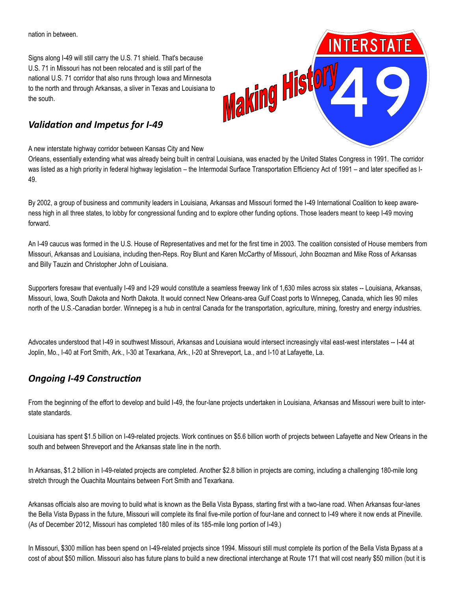nation in between.

Signs along I-49 will still carry the U.S. 71 shield. That's because U.S. 71 in Missouri has not been relocated and is still part of the national U.S. 71 corridor that also runs through Iowa and Minnesota to the north and through Arkansas, a sliver in Texas and Louisiana to the south.

# *Validation and Impetus for I-49*

A new interstate highway corridor between Kansas City and New

Orleans, essentially extending what was already being built in central Louisiana, was enacted by the United States Congress in 1991. The corridor was listed as a high priority in federal highway legislation – the Intermodal Surface Transportation Efficiency Act of 1991 – and later specified as I-49.

By 2002, a group of business and community leaders in Louisiana, Arkansas and Missouri formed the I-49 International Coalition to keep awareness high in all three states, to lobby for congressional funding and to explore other funding options. Those leaders meant to keep I-49 moving forward.

An I-49 caucus was formed in the U.S. House of Representatives and met for the first time in 2003. The coalition consisted of House members from Missouri, Arkansas and Louisiana, including then-Reps. Roy Blunt and Karen McCarthy of Missouri, John Boozman and Mike Ross of Arkansas and Billy Tauzin and Christopher John of Louisiana.

Supporters foresaw that eventually I-49 and I-29 would constitute a seamless freeway link of 1,630 miles across six states -- Louisiana, Arkansas, Missouri, Iowa, South Dakota and North Dakota. It would connect New Orleans-area Gulf Coast ports to Winnepeg, Canada, which lies 90 miles north of the U.S.-Canadian border. Winnepeg is a hub in central Canada for the transportation, agriculture, mining, forestry and energy industries.

Advocates understood that I-49 in southwest Missouri, Arkansas and Louisiana would intersect increasingly vital east-west interstates -- I-44 at Joplin, Mo., I-40 at Fort Smith, Ark., I-30 at Texarkana, Ark., I-20 at Shreveport, La., and I-10 at Lafayette, La.

# *Ongoing I-49 Construction*

From the beginning of the effort to develop and build I-49, the four-lane projects undertaken in Louisiana, Arkansas and Missouri were built to interstate standards.

Louisiana has spent \$1.5 billion on I-49-related projects. Work continues on \$5.6 billion worth of projects between Lafayette and New Orleans in the south and between Shreveport and the Arkansas state line in the north.

In Arkansas, \$1.2 billion in I-49-related projects are completed. Another \$2.8 billion in projects are coming, including a challenging 180-mile long stretch through the Ouachita Mountains between Fort Smith and Texarkana.

Arkansas officials also are moving to build what is known as the Bella Vista Bypass, starting first with a two-lane road. When Arkansas four-lanes the Bella Vista Bypass in the future, Missouri will complete its final five-mile portion of four-lane and connect to I-49 where it now ends at Pineville. (As of December 2012, Missouri has completed 180 miles of its 185-mile long portion of I-49.)

In Missouri, \$300 million has been spend on I-49-related projects since 1994. Missouri still must complete its portion of the Bella Vista Bypass at a cost of about \$50 million. Missouri also has future plans to build a new directional interchange at Route 171 that will cost nearly \$50 million (but it is